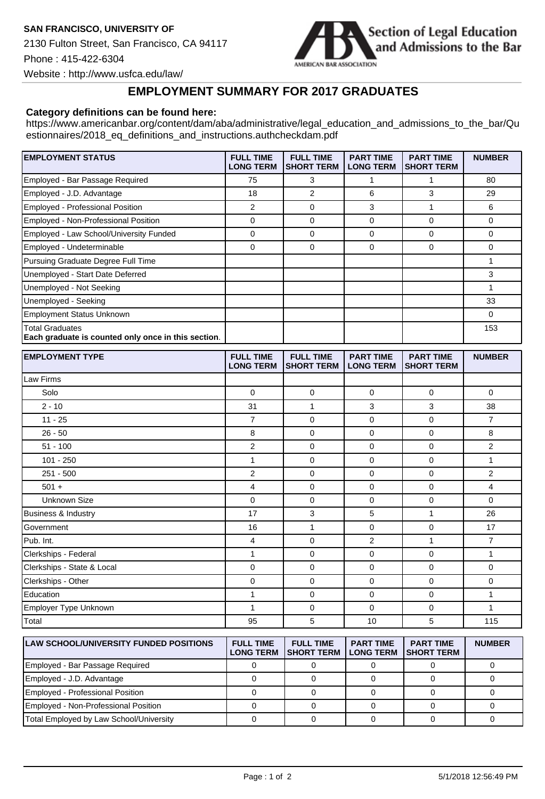

Website : http://www.usfca.edu/law/

## **EMPLOYMENT SUMMARY FOR 2017 GRADUATES**

## **Category definitions can be found here:**

https://www.americanbar.org/content/dam/aba/administrative/legal\_education\_and\_admissions\_to\_the\_bar/Qu estionnaires/2018\_eq\_definitions\_and\_instructions.authcheckdam.pdf

| <b>EMPLOYMENT STATUS</b>                                               | <b>FULL TIME</b><br><b>LONG TERM</b> | <b>FULL TIME</b><br><b>SHORT TERM</b> | <b>PART TIME</b><br><b>LONG TERM</b> | <b>PART TIME</b><br><b>SHORT TERM</b> | <b>NUMBER</b> |
|------------------------------------------------------------------------|--------------------------------------|---------------------------------------|--------------------------------------|---------------------------------------|---------------|
| Employed - Bar Passage Required                                        | 75                                   | 3                                     |                                      |                                       | 80            |
| Employed - J.D. Advantage                                              | 18                                   | 2                                     | 6                                    | 3                                     | 29            |
| <b>Employed - Professional Position</b>                                | 2                                    | $\Omega$                              | 3                                    |                                       | 6             |
| Employed - Non-Professional Position                                   | 0                                    | $\Omega$                              | 0                                    | 0                                     | 0             |
| Employed - Law School/University Funded                                | $\Omega$                             | $\Omega$                              | $\Omega$                             | 0                                     | $\Omega$      |
| Employed - Undeterminable                                              | 0                                    | $\Omega$                              | $\mathbf 0$                          | 0                                     | $\Omega$      |
| Pursuing Graduate Degree Full Time                                     |                                      |                                       |                                      |                                       |               |
| Unemployed - Start Date Deferred                                       |                                      |                                       |                                      |                                       | 3             |
| Unemployed - Not Seeking                                               |                                      |                                       |                                      |                                       |               |
| Unemployed - Seeking                                                   |                                      |                                       |                                      |                                       | 33            |
| <b>Employment Status Unknown</b>                                       |                                      |                                       |                                      |                                       | $\Omega$      |
| Total Graduates<br>Each graduate is counted only once in this section. |                                      |                                       |                                      |                                       | 153           |

| <b>EMPLOYMENT TYPE</b>         | <b>FULL TIME</b><br><b>LONG TERM</b> | <b>FULL TIME</b><br><b>SHORT TERM</b> | <b>PART TIME</b><br><b>LONG TERM</b> | <b>PART TIME</b><br><b>SHORT TERM</b> | <b>NUMBER</b>  |
|--------------------------------|--------------------------------------|---------------------------------------|--------------------------------------|---------------------------------------|----------------|
| Law Firms                      |                                      |                                       |                                      |                                       |                |
| Solo                           | $\mathbf 0$                          | $\mathbf 0$                           | $\mathbf 0$                          | $\mathbf 0$                           | $\mathbf 0$    |
| $2 - 10$                       | 31                                   | 1                                     | 3                                    | 3                                     | 38             |
| $11 - 25$                      | $\overline{7}$                       | $\mathbf 0$                           | $\mathbf 0$                          | $\mathbf 0$                           | $\overline{7}$ |
| $26 - 50$                      | 8                                    | $\mathbf 0$                           | $\mathbf 0$                          | $\mathbf 0$                           | 8              |
| $51 - 100$                     | 2                                    | $\mathbf 0$                           | $\mathbf 0$                          | $\mathbf 0$                           | $\overline{2}$ |
| 101 - 250                      | $\mathbf{1}$                         | $\mathbf 0$                           | $\mathbf 0$                          | $\mathbf 0$                           | $\mathbf{1}$   |
| $251 - 500$                    | $\overline{2}$                       | $\mathbf 0$                           | $\mathbf 0$                          | $\mathbf 0$                           | $\overline{2}$ |
| $501 +$                        | 4                                    | $\mathbf 0$                           | $\mathbf 0$                          | $\mathbf 0$                           | 4              |
| <b>Unknown Size</b>            | $\mathbf 0$                          | 0                                     | $\mathbf 0$                          | 0                                     | $\mathbf 0$    |
| <b>Business &amp; Industry</b> | 17                                   | 3                                     | 5                                    | 1                                     | 26             |
| Government                     | 16                                   | 1                                     | $\mathbf 0$                          | 0                                     | 17             |
| Pub. Int.                      | 4                                    | $\mathbf 0$                           | $\overline{2}$                       | 1                                     | $\overline{7}$ |
| Clerkships - Federal           | 1                                    | $\mathbf 0$                           | $\mathbf 0$                          | 0                                     | $\mathbf{1}$   |
| Clerkships - State & Local     | $\mathbf 0$                          | $\mathbf 0$                           | $\mathbf 0$                          | $\mathbf 0$                           | $\mathbf 0$    |
| Clerkships - Other             | 0                                    | $\mathbf 0$                           | $\mathbf 0$                          | 0                                     | 0              |
| Education                      | 1                                    | $\mathbf 0$                           | $\Omega$                             | $\Omega$                              | $\mathbf{1}$   |
| Employer Type Unknown          | 1                                    | $\mathbf 0$                           | $\mathbf 0$                          | $\mathbf 0$                           | $\mathbf{1}$   |
| Total                          | 95                                   | 5                                     | 10                                   | 5                                     | 115            |

| <b>LAW SCHOOL/UNIVERSITY FUNDED POSITIONS</b> | <b>FULL TIME</b><br><b>LONG TERM</b> | <b>FULL TIME</b><br><b>ISHORT TERM</b> | <b>PART TIME</b><br><b>LONG TERM</b> | <b>PART TIME</b><br><b>ISHORT TERM</b> | <b>NUMBER</b> |
|-----------------------------------------------|--------------------------------------|----------------------------------------|--------------------------------------|----------------------------------------|---------------|
| Employed - Bar Passage Required               |                                      |                                        |                                      |                                        |               |
| Employed - J.D. Advantage                     |                                      |                                        |                                      |                                        |               |
| Employed - Professional Position              |                                      |                                        |                                      |                                        |               |
| Employed - Non-Professional Position          |                                      |                                        |                                      |                                        |               |
| Total Employed by Law School/University       |                                      |                                        |                                      |                                        |               |